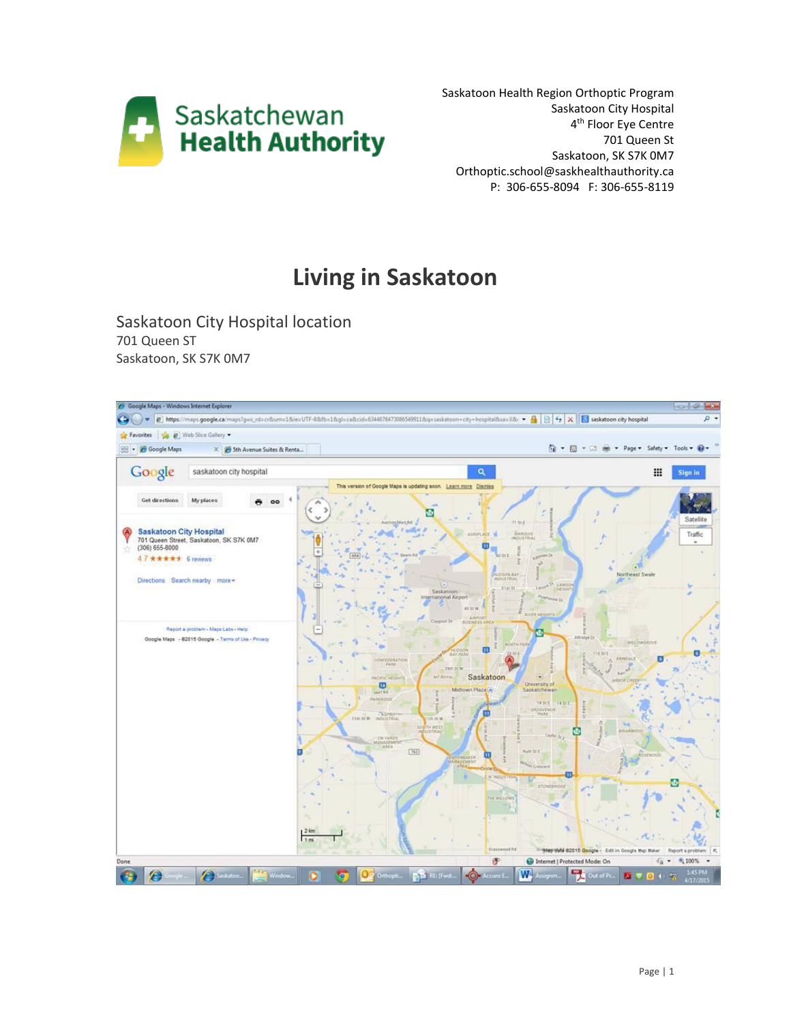

Saskatoon Health Region Orthoptic Program Saskatoon City Hospital 4<sup>th</sup> Floor Eye Centre 701 Queen St Saskatoon, SK S7K 0M7 Orthoptic.school@saskhealthauthority.ca P: 306-655-8094 F: 306-655-8119

# **Living in Saskatoon**

Saskatoon City Hospital location 701 Queen ST Saskatoon, SK S7K 0M7

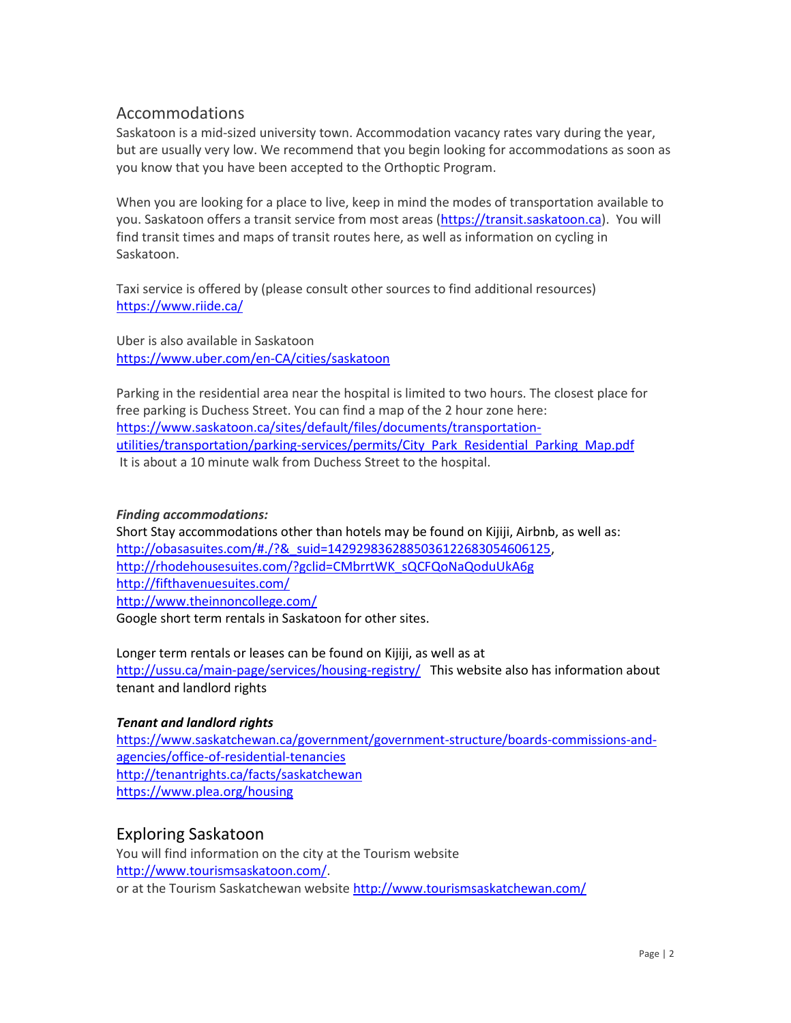## Accommodations

Saskatoon is a mid-sized university town. Accommodation vacancy rates vary during the year, but are usually very low. We recommend that you begin looking for accommodations as soon as you know that you have been accepted to the Orthoptic Program.

When you are looking for a place to live, keep in mind the modes of transportation available to you. Saskatoon offers a transit service from most areas [\(https://transit.saskatoon.ca\)](https://transit.saskatoon.ca/). You will find transit times and maps of transit routes here, as well as information on cycling in Saskatoon.

Taxi service is offered by (please consult other sources to find additional resources) <https://www.riide.ca/>

Uber is also available in Saskatoon <https://www.uber.com/en-CA/cities/saskatoon>

Parking in the residential area near the hospital is limited to two hours. The closest place for free parking is Duchess Street. You can find a map of the 2 hour zone here: [https://www.saskatoon.ca/sites/default/files/documents/transportation](https://www.saskatoon.ca/sites/default/files/documents/transportation-utilities/transportation/parking-services/permits/City_Park_Residential_Parking_Map.pdf)[utilities/transportation/parking-services/permits/City\\_Park\\_Residential\\_Parking\\_Map.pdf](https://www.saskatoon.ca/sites/default/files/documents/transportation-utilities/transportation/parking-services/permits/City_Park_Residential_Parking_Map.pdf) It is about a 10 minute walk from Duchess Street to the hospital.

#### *Finding accommodations:*

Short Stay accommodations other than hotels may be found on Kijiji, Airbnb, as well as: [http://obasasuites.com/#./?&\\_suid=1429298362885036122683054606125,](http://obasasuites.com/#./?&_suid=1429298362885036122683054606125) [http://rhodehousesuites.com/?gclid=CMbrrtWK\\_sQCFQoNaQoduUkA6g](http://rhodehousesuites.com/?gclid=CMbrrtWK_sQCFQoNaQoduUkA6g) <http://fifthavenuesuites.com/> <http://www.theinnoncollege.com/> Google short term rentals in Saskatoon for other sites.

Longer term rentals or leases can be found on Kijiji, as well as at

<http://ussu.ca/main-page/services/housing-registry/>This website also has information about tenant and landlord rights

## *Tenant and landlord rights*

[https://www.saskatchewan.ca/government/government-structure/boards-commissions-and](https://www.saskatchewan.ca/government/government-structure/boards-commissions-and-agencies/office-of-residential-tenancies)[agencies/office-of-residential-tenancies](https://www.saskatchewan.ca/government/government-structure/boards-commissions-and-agencies/office-of-residential-tenancies) <http://tenantrights.ca/facts/saskatchewan> <https://www.plea.org/housing>

## Exploring Saskatoon

You will find information on the city at the Tourism website [http://www.tourismsaskatoon.com/.](http://www.tourismsaskatoon.com/) or at the Tourism Saskatchewan website<http://www.tourismsaskatchewan.com/>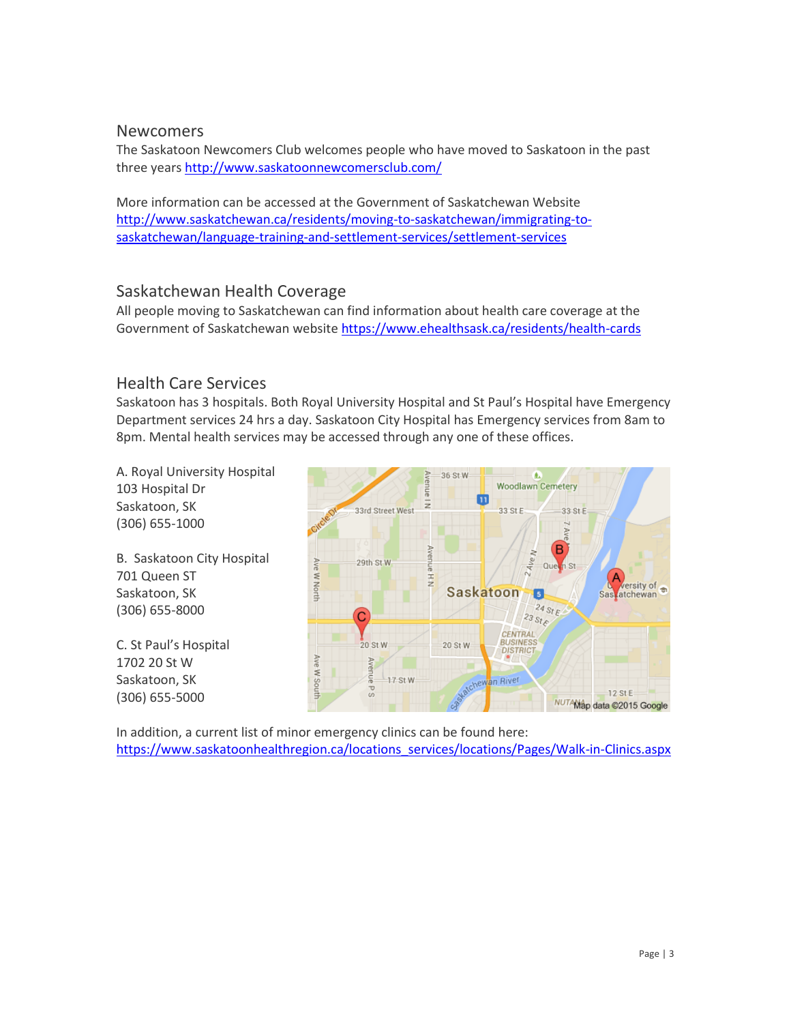## Newcomers

The Saskatoon Newcomers Club welcomes people who have moved to Saskatoon in the past three years<http://www.saskatoonnewcomersclub.com/>

More information can be accessed at the Government of Saskatchewan Website [http://www.saskatchewan.ca/residents/moving-to-saskatchewan/immigrating-to](http://www.saskatchewan.ca/residents/moving-to-saskatchewan/immigrating-to-saskatchewan/language-training-and-settlement-services/settlement-services)[saskatchewan/language-training-and-settlement-services/settlement-services](http://www.saskatchewan.ca/residents/moving-to-saskatchewan/immigrating-to-saskatchewan/language-training-and-settlement-services/settlement-services)

## Saskatchewan Health Coverage

All people moving to Saskatchewan can find information about health care coverage at the Government of Saskatchewan website<https://www.ehealthsask.ca/residents/health-cards>

# Health Care Services

Saskatoon has 3 hospitals. Both Royal University Hospital and St Paul's Hospital have Emergency Department services 24 hrs a day. Saskatoon City Hospital has Emergency services from 8am to 8pm. Mental health services may be accessed through any one of these offices.

A. Royal University Hospital 103 Hospital Dr Saskatoon, SK (306) 655-1000

B. Saskatoon City Hospital 701 Queen ST Saskatoon, SK (306) 655-8000

C. St Paul's Hospital 1702 20 St W Saskatoon, SK (306) 655-5000



In addition, a current list of minor emergency clinics can be found here: [https://www.saskatoonhealthregion.ca/locations\\_services/locations/Pages/Walk-in-Clinics.aspx](https://www.saskatoonhealthregion.ca/locations_services/locations/Pages/Walk-in-Clinics.aspx)